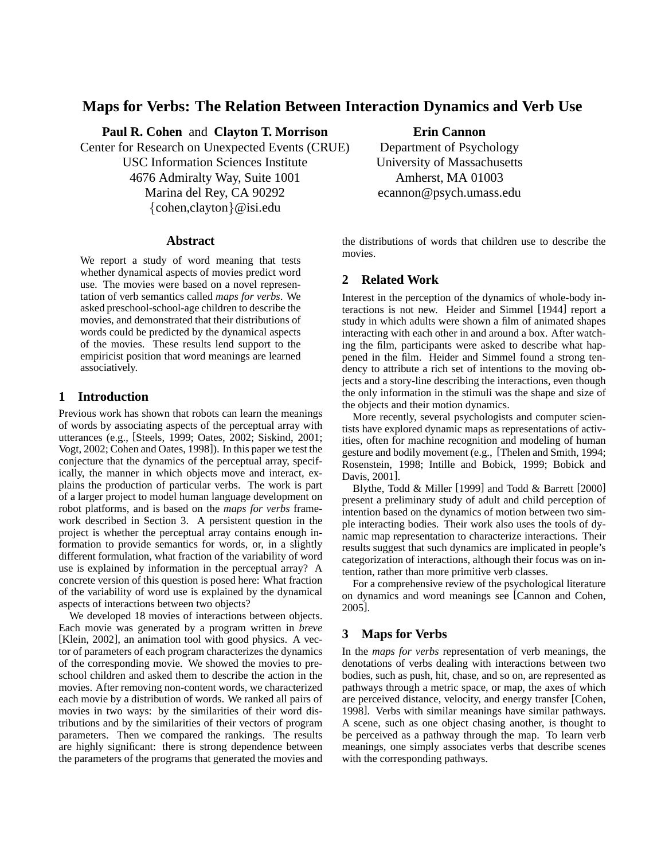# **Maps for Verbs: The Relation Between Interaction Dynamics and Verb Use**

**Paul R. Cohen** and **Clayton T. Morrison** Center for Research on Unexpected Events (CRUE) USC Information Sciences Institute 4676 Admiralty Way, Suite 1001 Marina del Rey, CA 90292 {cohen,clayton}@isi.edu

### **Abstract**

We report a study of word meaning that tests whether dynamical aspects of movies predict word use. The movies were based on a novel representation of verb semantics called *maps for verbs*. We asked preschool-school-age children to describe the movies, and demonstrated that their distributions of words could be predicted by the dynamical aspects of the movies. These results lend support to the empiricist position that word meanings are learned associatively.

## **1 Introduction**

Previous work has shown that robots can learn the meanings of words by associating aspects of the perceptual array with utterances (e.g., [Steels, 1999; Oates, 2002; Siskind, 2001; Vogt, 2002; Cohen and Oates, 1998]). In this paper we test the conjecture that the dynamics of the perceptual array, specifically, the manner in which objects move and interact, explains the production of particular verbs. The work is part of a larger project to model human language development on robot platforms, and is based on the *maps for verbs* framework described in Section 3. A persistent question in the project is whether the perceptual array contains enough information to provide semantics for words, or, in a slightly different formulation, what fraction of the variability of word use is explained by information in the perceptual array? A concrete version of this question is posed here: What fraction of the variability of word use is explained by the dynamical aspects of interactions between two objects?

We developed 18 movies of interactions between objects. Each movie was generated by a program written in *breve* [Klein, 2002], an animation tool with good physics. A vector of parameters of each program characterizes the dynamics of the corresponding movie. We showed the movies to preschool children and asked them to describe the action in the movies. After removing non-content words, we characterized each movie by a distribution of words. We ranked all pairs of movies in two ways: by the similarities of their word distributions and by the similarities of their vectors of program parameters. Then we compared the rankings. The results are highly significant: there is strong dependence between the parameters of the programs that generated the movies and **Erin Cannon**

Department of Psychology University of Massachusetts Amherst, MA 01003 ecannon@psych.umass.edu

the distributions of words that children use to describe the movies.

## **2 Related Work**

Interest in the perception of the dynamics of whole-body interactions is not new. Heider and Simmel [1944] report a study in which adults were shown a film of animated shapes interacting with each other in and around a box. After watching the film, participants were asked to describe what happened in the film. Heider and Simmel found a strong tendency to attribute a rich set of intentions to the moving objects and a story-line describing the interactions, even though the only information in the stimuli was the shape and size of the objects and their motion dynamics.

More recently, several psychologists and computer scientists have explored dynamic maps as representations of activities, often for machine recognition and modeling of human gesture and bodily movement (e.g., [Thelen and Smith, 1994; Rosenstein, 1998; Intille and Bobick, 1999; Bobick and Davis, 2001].

Blythe, Todd & Miller [1999] and Todd & Barrett [2000] present a preliminary study of adult and child perception of intention based on the dynamics of motion between two simple interacting bodies. Their work also uses the tools of dynamic map representation to characterize interactions. Their results suggest that such dynamics are implicated in people's categorization of interactions, although their focus was on intention, rather than more primitive verb classes.

For a comprehensive review of the psychological literature on dynamics and word meanings see [Cannon and Cohen, 2005].

## **3 Maps for Verbs**

In the *maps for verbs* representation of verb meanings, the denotations of verbs dealing with interactions between two bodies, such as push, hit, chase, and so on, are represented as pathways through a metric space, or map, the axes of which are perceived distance, velocity, and energy transfer [Cohen, 1998]. Verbs with similar meanings have similar pathways. A scene, such as one object chasing another, is thought to be perceived as a pathway through the map. To learn verb meanings, one simply associates verbs that describe scenes with the corresponding pathways.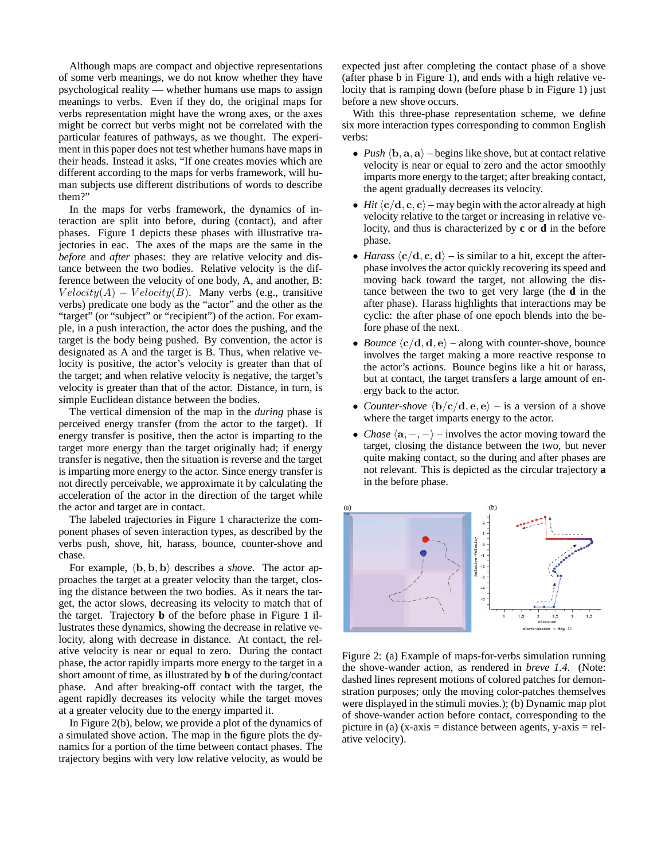Although maps are compact and objective representations of some verb meanings, we do not know whether they have psychological reality — whether humans use maps to assign meanings to verbs. Even if they do, the original maps for verbs representation might have the wrong axes, or the axes might be correct but verbs might not be correlated with the particular features of pathways, as we thought. The experiment in this paper does not test whether humans have maps in their heads. Instead it asks, "If one creates movies which are different according to the maps for verbs framework, will human subjects use different distributions of words to describe them?"

In the maps for verbs framework, the dynamics of interaction are split into before, during (contact), and after phases. Figure 1 depicts these phases with illustrative trajectories in eac. The axes of the maps are the same in the *before* and *after* phases: they are relative velocity and distance between the two bodies. Relative velocity is the difference between the velocity of one body, A, and another, B:  $Velocity(A) - Velocity(B)$ . Many verbs (e.g., transitive verbs) predicate one body as the "actor" and the other as the "target" (or "subject" or "recipient") of the action. For example, in a push interaction, the actor does the pushing, and the target is the body being pushed. By convention, the actor is designated as A and the target is B. Thus, when relative velocity is positive, the actor's velocity is greater than that of the target; and when relative velocity is negative, the target's velocity is greater than that of the actor. Distance, in turn, is simple Euclidean distance between the bodies.

The vertical dimension of the map in the *during* phase is perceived energy transfer (from the actor to the target). If energy transfer is positive, then the actor is imparting to the target more energy than the target originally had; if energy transfer is negative, then the situation is reverse and the target is imparting more energy to the actor. Since energy transfer is not directly perceivable, we approximate it by calculating the acceleration of the actor in the direction of the target while the actor and target are in contact.

The labeled trajectories in Figure 1 characterize the component phases of seven interaction types, as described by the verbs push, shove, hit, harass, bounce, counter-shove and chase.

For example,  $\langle \mathbf{b}, \mathbf{b}, \mathbf{b} \rangle$  describes a *shove*. The actor approaches the target at a greater velocity than the target, closing the distance between the two bodies. As it nears the target, the actor slows, decreasing its velocity to match that of the target. Trajectory **b** of the before phase in Figure 1 illustrates these dynamics, showing the decrease in relative velocity, along with decrease in distance. At contact, the relative velocity is near or equal to zero. During the contact phase, the actor rapidly imparts more energy to the target in a short amount of time, as illustrated by **b** of the during/contact phase. And after breaking-off contact with the target, the agent rapidly decreases its velocity while the target moves at a greater velocity due to the energy imparted it.

In Figure 2(b), below, we provide a plot of the dynamics of a simulated shove action. The map in the figure plots the dynamics for a portion of the time between contact phases. The trajectory begins with very low relative velocity, as would be

expected just after completing the contact phase of a shove (after phase b in Figure 1), and ends with a high relative velocity that is ramping down (before phase b in Figure 1) just before a new shove occurs.

With this three-phase representation scheme, we define six more interaction types corresponding to common English verbs:

- *Push*  $\langle$ **b**,  $a, a \rangle$  begins like shove, but at contact relative velocity is near or equal to zero and the actor smoothly imparts more energy to the target; after breaking contact, the agent gradually decreases its velocity.
- *Hit*  $\langle c/d, c, c \rangle$  may begin with the actor already at high velocity relative to the target or increasing in relative velocity, and thus is characterized by **c** or **d** in the before phase.
- *Harass*  $\langle c/d, c, d \rangle$  is similar to a hit, except the afterphase involves the actor quickly recovering its speed and moving back toward the target, not allowing the distance between the two to get very large (the **d** in the after phase). Harass highlights that interactions may be cyclic: the after phase of one epoch blends into the before phase of the next.
- *Bounce*  $\langle c/d, d, e \rangle$  along with counter-shove, bounce involves the target making a more reactive response to the actor's actions. Bounce begins like a hit or harass, but at contact, the target transfers a large amount of energy back to the actor.
- *Counter-shove*  $\langle \mathbf{b}/\mathbf{c}/\mathbf{d}, \mathbf{e}, \mathbf{e} \rangle$  is a version of a shove where the target imparts energy to the actor.
- *Chase*  $\langle \mathbf{a}, -, \rangle$  involves the actor moving toward the target, closing the distance between the two, but never quite making contact, so the during and after phases are not relevant. This is depicted as the circular trajectory **a** in the before phase.



Figure 2: (a) Example of maps-for-verbs simulation running the shove-wander action, as rendered in *breve 1.4*. (Note: dashed lines represent motions of colored patches for demonstration purposes; only the moving color-patches themselves were displayed in the stimuli movies.); (b) Dynamic map plot of shove-wander action before contact, corresponding to the picture in (a)  $(x-axis)$  = distance between agents,  $y-axis$  = relative velocity).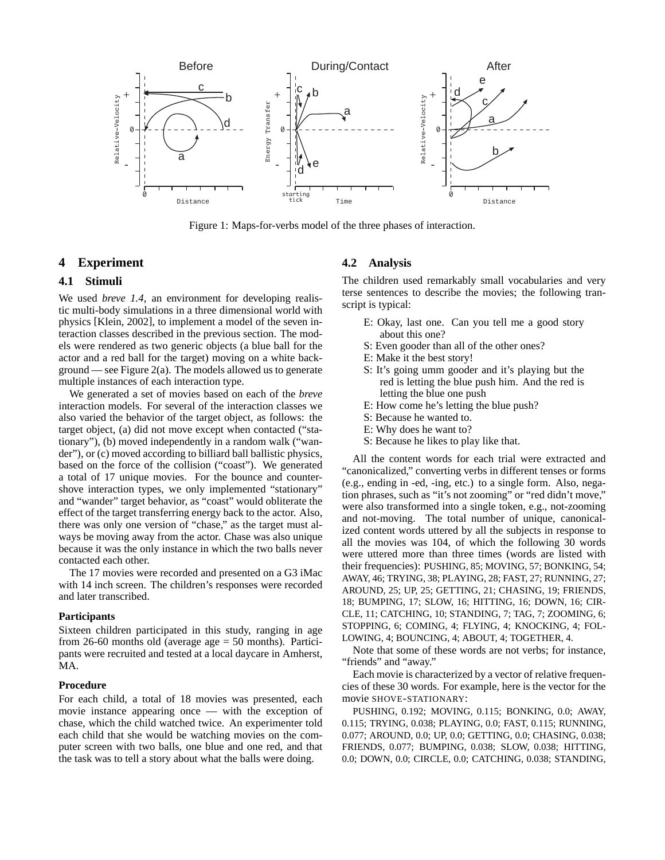

Figure 1: Maps-for-verbs model of the three phases of interaction.

### **4 Experiment**

#### **4.1 Stimuli**

We used *breve 1.4*, an environment for developing realistic multi-body simulations in a three dimensional world with physics [Klein, 2002], to implement a model of the seven interaction classes described in the previous section. The models were rendered as two generic objects (a blue ball for the actor and a red ball for the target) moving on a white background — see Figure  $2(a)$ . The models allowed us to generate multiple instances of each interaction type.

We generated a set of movies based on each of the *breve* interaction models. For several of the interaction classes we also varied the behavior of the target object, as follows: the target object, (a) did not move except when contacted ("stationary"), (b) moved independently in a random walk ("wander"), or (c) moved according to billiard ball ballistic physics, based on the force of the collision ("coast"). We generated a total of 17 unique movies. For the bounce and countershove interaction types, we only implemented "stationary" and "wander" target behavior, as "coast" would obliterate the effect of the target transferring energy back to the actor. Also, there was only one version of "chase," as the target must always be moving away from the actor. Chase was also unique because it was the only instance in which the two balls never contacted each other.

The 17 movies were recorded and presented on a G3 iMac with 14 inch screen. The children's responses were recorded and later transcribed.

#### **Participants**

Sixteen children participated in this study, ranging in age from 26-60 months old (average  $age = 50$  months). Participants were recruited and tested at a local daycare in Amherst, MA.

#### **Procedure**

For each child, a total of 18 movies was presented, each movie instance appearing once — with the exception of chase, which the child watched twice. An experimenter told each child that she would be watching movies on the computer screen with two balls, one blue and one red, and that the task was to tell a story about what the balls were doing.

### **4.2 Analysis**

The children used remarkably small vocabularies and very terse sentences to describe the movies; the following transcript is typical:

- E: Okay, last one. Can you tell me a good story about this one?
- S: Even gooder than all of the other ones?
- E: Make it the best story!
- S: It's going umm gooder and it's playing but the red is letting the blue push him. And the red is letting the blue one push
- E: How come he's letting the blue push?
- S: Because he wanted to.
- E: Why does he want to?
- S: Because he likes to play like that.

All the content words for each trial were extracted and "canonicalized," converting verbs in different tenses or forms (e.g., ending in -ed, -ing, etc.) to a single form. Also, negation phrases, such as "it's not zooming" or "red didn't move," were also transformed into a single token, e.g., not-zooming and not-moving. The total number of unique, canonicalized content words uttered by all the subjects in response to all the movies was 104, of which the following 30 words were uttered more than three times (words are listed with their frequencies): PUSHING, 85; MOVING, 57; BONKING, 54; AWAY, 46; TRYING, 38; PLAYING, 28; FAST, 27; RUNNING, 27; AROUND, 25; UP, 25; GETTING, 21; CHASING, 19; FRIENDS, 18; BUMPING, 17; SLOW, 16; HITTING, 16; DOWN, 16; CIR-CLE, 11; CATCHING, 10; STANDING, 7; TAG, 7; ZOOMING, 6; STOPPING, 6; COMING, 4; FLYING, 4; KNOCKING, 4; FOL-LOWING, 4; BOUNCING, 4; ABOUT, 4; TOGETHER, 4.

Note that some of these words are not verbs; for instance, "friends" and "away."

Each movie is characterized by a vector of relative frequencies of these 30 words. For example, here is the vector for the movie SHOVE-STATIONARY:

PUSHING, 0.192; MOVING, 0.115; BONKING, 0.0; AWAY, 0.115; TRYING, 0.038; PLAYING, 0.0; FAST, 0.115; RUNNING, 0.077; AROUND, 0.0; UP, 0.0; GETTING, 0.0; CHASING, 0.038; FRIENDS, 0.077; BUMPING, 0.038; SLOW, 0.038; HITTING, 0.0; DOWN, 0.0; CIRCLE, 0.0; CATCHING, 0.038; STANDING,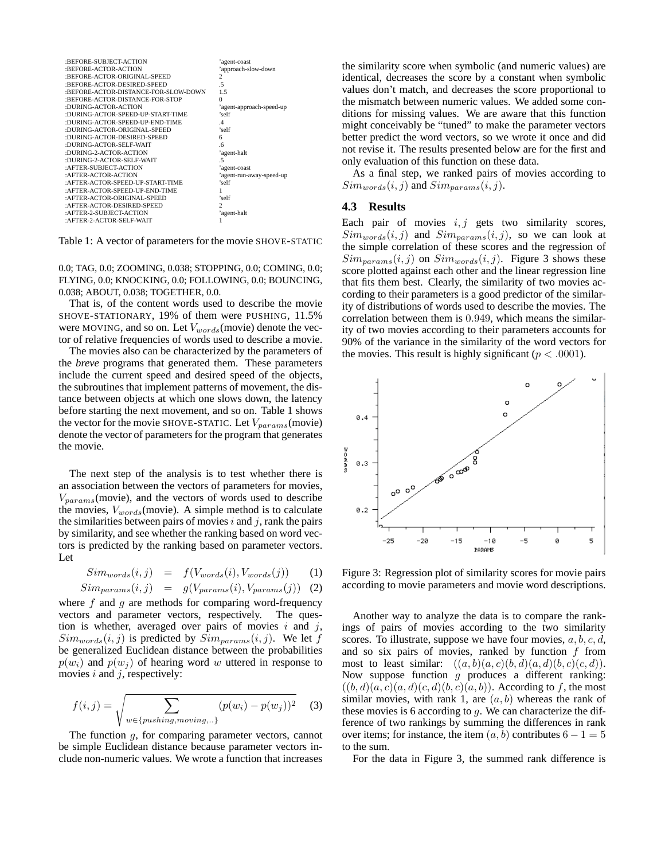| : BEFORE-SUBJECT-ACTION               | 'agent-coast                |
|---------------------------------------|-----------------------------|
| : BEFORE-ACTOR-ACTION                 | 'approach-slow-down         |
| : BEFORE-ACTOR-ORIGINAL-SPEED         | 2                           |
| : BEFORE-ACTOR-DESIRED-SPEED          | .5                          |
| : BEFORE-ACTOR-DISTANCE-FOR-SLOW-DOWN | 1.5                         |
| : BEFORE-ACTOR-DISTANCE-FOR-STOP      | $\Omega$                    |
| : DURING-ACTOR-ACTION                 | 'agent-approach-speed-up    |
| : DURING-ACTOR-SPEED-UP-START-TIME    | 'self                       |
| :DURING-ACTOR-SPEED-UP-END-TIME       | $\boldsymbol{\vartriangle}$ |
| : DURING-ACTOR-ORIGINAL-SPEED         | 'self                       |
| : DURING-ACTOR-DESIRED-SPEED          | 6                           |
| : DURING-ACTOR-SELF-WAIT              | 6 <sup>6</sup>              |
| :DURING-2-ACTOR-ACTION                | 'agent-halt                 |
| : DURING-2-ACTOR-SELF-WAIT            | .5                          |
| :AFTER-SUBJECT-ACTION                 | 'agent-coast                |
| : AFTER-ACTOR-ACTION                  | 'agent-run-away-speed-up    |
| : AFTER-ACTOR-SPEED-UP-START-TIME     | 'self                       |
| :AFTER-ACTOR-SPEED-UP-END-TIME        |                             |
| : AFTER-ACTOR-ORIGINAL-SPEED          | 'self                       |
| : AFTER-ACTOR-DESIRED-SPEED           | $\overline{c}$              |
| :AFTER-2-SUBJECT-ACTION               | 'agent-halt                 |
| : AFTER-2-ACTOR-SELF-WAIT             |                             |
|                                       |                             |

Table 1: A vector of parameters for the movie SHOVE-STATIC

0.0; TAG, 0.0; ZOOMING, 0.038; STOPPING, 0.0; COMING, 0.0; FLYING, 0.0; KNOCKING, 0.0; FOLLOWING, 0.0; BOUNCING, 0.038; ABOUT, 0.038; TOGETHER, 0.0.

That is, of the content words used to describe the movie SHOVE-STATIONARY, 19% of them were PUSHING, 11.5% were MOVING, and so on. Let  $V_{words}$ (movie) denote the vector of relative frequencies of words used to describe a movie.

The movies also can be characterized by the parameters of the *breve* programs that generated them. These parameters include the current speed and desired speed of the objects, the subroutines that implement patterns of movement, the distance between objects at which one slows down, the latency before starting the next movement, and so on. Table 1 shows the vector for the movie SHOVE-STATIC. Let  $V_{params}$ (movie) denote the vector of parameters for the program that generates the movie.

The next step of the analysis is to test whether there is an association between the vectors of parameters for movies,  $V_{params}$ (movie), and the vectors of words used to describe the movies,  $V_{words}$ (movie). A simple method is to calculate the similarities between pairs of movies  $i$  and  $j$ , rank the pairs by similarity, and see whether the ranking based on word vectors is predicted by the ranking based on parameter vectors. Let

$$
Sim_{words}(i, j) = f(V_{words}(i), V_{words}(j)) \qquad (1)
$$

$$
Sim_{params}(i, j) = g(V_{params}(i), V_{params}(j)) \quad (2)
$$

where  $f$  and  $g$  are methods for comparing word-frequency vectors and parameter vectors, respectively. The question is whether, averaged over pairs of movies  $i$  and  $j$ ,  $Sim_{words}(i, j)$  is predicted by  $Sim_{params}(i, j)$ . We let f be generalized Euclidean distance between the probabilities  $p(w_i)$  and  $p(w_i)$  of hearing word w uttered in response to movies  $i$  and  $j$ , respectively:

$$
f(i,j) = \sqrt{\sum_{w \in \{pushing, moving,..\}} (p(w_i) - p(w_j))^2}
$$
 (3)

The function g, for comparing parameter vectors, cannot be simple Euclidean distance because parameter vectors include non-numeric values. We wrote a function that increases the similarity score when symbolic (and numeric values) are identical, decreases the score by a constant when symbolic values don't match, and decreases the score proportional to the mismatch between numeric values. We added some conditions for missing values. We are aware that this function might conceivably be "tuned" to make the parameter vectors better predict the word vectors, so we wrote it once and did not revise it. The results presented below are for the first and only evaluation of this function on these data.

As a final step, we ranked pairs of movies according to  $Sim_{words}(i, j)$  and  $Sim_{params}(i, j)$ .

#### **4.3 Results**

Each pair of movies  $i, j$  gets two similarity scores,  $Sim_{words}(i, j)$  and  $Sim_{params}(i, j)$ , so we can look at the simple correlation of these scores and the regression of  $Sim_{params}(i, j)$  on  $Sim_{words}(i, j)$ . Figure 3 shows these score plotted against each other and the linear regression line that fits them best. Clearly, the similarity of two movies according to their parameters is a good predictor of the similarity of distributions of words used to describe the movies. The correlation between them is 0.949, which means the similarity of two movies according to their parameters accounts for 90% of the variance in the similarity of the word vectors for the movies. This result is highly significant ( $p < .0001$ ).



Figure 3: Regression plot of similarity scores for movie pairs according to movie parameters and movie word descriptions.

Another way to analyze the data is to compare the rankings of pairs of movies according to the two similarity scores. To illustrate, suppose we have four movies,  $a, b, c, d$ , and so six pairs of movies, ranked by function  $f$  from most to least similar:  $((a, b)(a, c)(b, d)(a, d)(b, c)(c, d)).$ Now suppose function  $g$  produces a different ranking:  $((b, d)(a, c)(a, d)(c, d)(b, c)(a, b))$ . According to f, the most similar movies, with rank 1, are  $(a, b)$  whereas the rank of these movies is 6 according to  $g$ . We can characterize the difference of two rankings by summing the differences in rank over items; for instance, the item  $(a, b)$  contributes  $6 - 1 = 5$ to the sum.

For the data in Figure 3, the summed rank difference is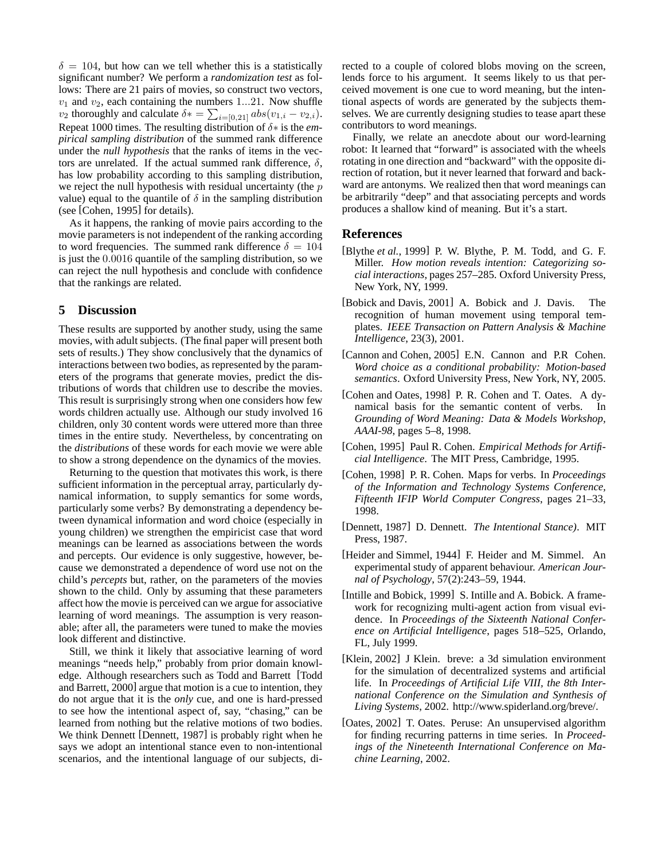$\delta = 104$ , but how can we tell whether this is a statistically significant number? We perform a *randomization test* as follows: There are 21 pairs of movies, so construct two vectors,  $v_1$  and  $v_2$ , each containing the numbers 1...21. Now shuffle  $v_2$  thoroughly and calculate  $\delta* = \sum_{i=[0,21]} abs(v_{1,i} - v_{2,i}).$ Repeat 1000 times. The resulting distribution of δ∗ is the *empirical sampling distribution* of the summed rank difference under the *null hypothesis* that the ranks of items in the vectors are unrelated. If the actual summed rank difference,  $\delta$ , has low probability according to this sampling distribution, we reject the null hypothesis with residual uncertainty (the  $p$ value) equal to the quantile of  $\delta$  in the sampling distribution (see [Cohen, 1995] for details).

As it happens, the ranking of movie pairs according to the movie parameters is not independent of the ranking according to word frequencies. The summed rank difference  $\delta = 104$ is just the 0.0016 quantile of the sampling distribution, so we can reject the null hypothesis and conclude with confidence that the rankings are related.

## **5 Discussion**

These results are supported by another study, using the same movies, with adult subjects. (The final paper will present both sets of results.) They show conclusively that the dynamics of interactions between two bodies, as represented by the parameters of the programs that generate movies, predict the distributions of words that children use to describe the movies. This result is surprisingly strong when one considers how few words children actually use. Although our study involved 16 children, only 30 content words were uttered more than three times in the entire study. Nevertheless, by concentrating on the *distributions* of these words for each movie we were able to show a strong dependence on the dynamics of the movies.

Returning to the question that motivates this work, is there sufficient information in the perceptual array, particularly dynamical information, to supply semantics for some words, particularly some verbs? By demonstrating a dependency between dynamical information and word choice (especially in young children) we strengthen the empiricist case that word meanings can be learned as associations between the words and percepts. Our evidence is only suggestive, however, because we demonstrated a dependence of word use not on the child's *percepts* but, rather, on the parameters of the movies shown to the child. Only by assuming that these parameters affect how the movie is perceived can we argue for associative learning of word meanings. The assumption is very reasonable; after all, the parameters were tuned to make the movies look different and distinctive.

Still, we think it likely that associative learning of word meanings "needs help," probably from prior domain knowledge. Although researchers such as Todd and Barrett [Todd and Barrett, 2000] argue that motion is a cue to intention, they do not argue that it is the *only* cue, and one is hard-pressed to see how the intentional aspect of, say, "chasing," can be learned from nothing but the relative motions of two bodies. We think Dennett [Dennett, 1987] is probably right when he says we adopt an intentional stance even to non-intentional scenarios, and the intentional language of our subjects, directed to a couple of colored blobs moving on the screen, lends force to his argument. It seems likely to us that perceived movement is one cue to word meaning, but the intentional aspects of words are generated by the subjects themselves. We are currently designing studies to tease apart these contributors to word meanings.

Finally, we relate an anecdote about our word-learning robot: It learned that "forward" is associated with the wheels rotating in one direction and "backward" with the opposite direction of rotation, but it never learned that forward and backward are antonyms. We realized then that word meanings can be arbitrarily "deep" and that associating percepts and words produces a shallow kind of meaning. But it's a start.

### **References**

- [Blythe *et al.*, 1999] P. W. Blythe, P. M. Todd, and G. F. Miller. *How motion reveals intention: Categorizing social interactions*, pages 257–285. Oxford University Press, New York, NY, 1999.
- [Bobick and Davis, 2001] A. Bobick and J. Davis. The recognition of human movement using temporal templates. *IEEE Transaction on Pattern Analysis & Machine Intelligence*, 23(3), 2001.
- [Cannon and Cohen, 2005] E.N. Cannon and P.R Cohen. *Word choice as a conditional probability: Motion-based semantics*. Oxford University Press, New York, NY, 2005.
- [Cohen and Oates, 1998] P. R. Cohen and T. Oates. A dynamical basis for the semantic content of verbs. In *Grounding of Word Meaning: Data & Models Workshop, AAAI-98*, pages 5–8, 1998.
- [Cohen, 1995] Paul R. Cohen. *Empirical Methods for Artificial Intelligence*. The MIT Press, Cambridge, 1995.
- [Cohen, 1998] P. R. Cohen. Maps for verbs. In *Proceedings of the Information and Technology Systems Conference, Fifteenth IFIP World Computer Congress*, pages 21–33, 1998.
- [Dennett, 1987] D. Dennett. *The Intentional Stance)*. MIT Press, 1987.
- [Heider and Simmel, 1944] F. Heider and M. Simmel. An experimental study of apparent behaviour. *American Journal of Psychology*, 57(2):243–59, 1944.
- [Intille and Bobick, 1999] S. Intille and A. Bobick. A framework for recognizing multi-agent action from visual evidence. In *Proceedings of the Sixteenth National Conference on Artificial Intelligence*, pages 518–525, Orlando, FL, July 1999.
- [Klein, 2002] J Klein. breve: a 3d simulation environment for the simulation of decentralized systems and artificial life. In *Proceedings of Artificial Life VIII, the 8th International Conference on the Simulation and Synthesis of Living Systems*, 2002. http://www.spiderland.org/breve/.
- [Oates, 2002] T. Oates. Peruse: An unsupervised algorithm for finding recurring patterns in time series. In *Proceedings of the Nineteenth International Conference on Machine Learning*, 2002.